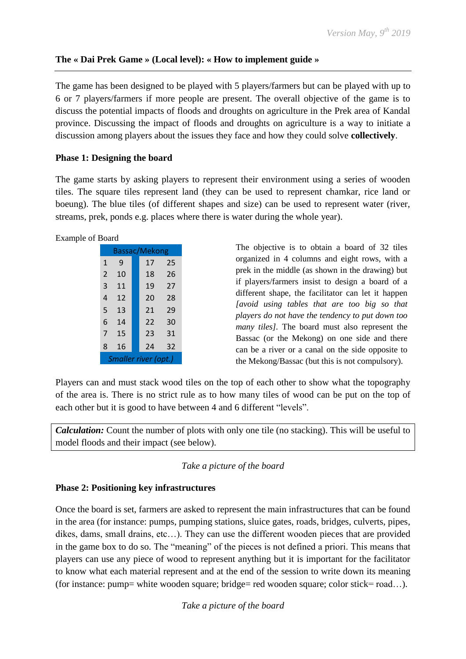# **The « Dai Prek Game » (Local level): « How to implement guide »**

The game has been designed to be played with 5 players/farmers but can be played with up to 6 or 7 players/farmers if more people are present. The overall objective of the game is to discuss the potential impacts of floods and droughts on agriculture in the Prek area of Kandal province. Discussing the impact of floods and droughts on agriculture is a way to initiate a discussion among players about the issues they face and how they could solve **collectively**.

### **Phase 1: Designing the board**

The game starts by asking players to represent their environment using a series of wooden tiles. The square tiles represent land (they can be used to represent chamkar, rice land or boeung). The blue tiles (of different shapes and size) can be used to represent water (river, streams, prek, ponds e.g. places where there is water during the whole year).

#### Example of Board

| <b>Bassac/Mekong</b> |    |  |    |    |
|----------------------|----|--|----|----|
| 1                    | 9  |  | 17 | 25 |
| $\overline{2}$       | 10 |  | 18 | 26 |
| 3                    | 11 |  | 19 | 27 |
| 4                    | 12 |  | 20 | 28 |
| 5                    | 13 |  | 21 | 29 |
| 6                    | 14 |  | 22 | 30 |
| 7                    | 15 |  | 23 | 31 |
| 8                    | 16 |  | 24 | 32 |
| Smaller river (opt.) |    |  |    |    |

The objective is to obtain a board of 32 tiles organized in 4 columns and eight rows, with a prek in the middle (as shown in the drawing) but if players/farmers insist to design a board of a different shape, the facilitator can let it happen *[avoid using tables that are too big so that players do not have the tendency to put down too many tiles].* The board must also represent the Bassac (or the Mekong) on one side and there can be a river or a canal on the side opposite to the Mekong/Bassac (but this is not compulsory).

Players can and must stack wood tiles on the top of each other to show what the topography of the area is. There is no strict rule as to how many tiles of wood can be put on the top of each other but it is good to have between 4 and 6 different "levels".

*Calculation:* Count the number of plots with only one tile (no stacking). This will be useful to model floods and their impact (see below).

# *Take a picture of the board*

# **Phase 2: Positioning key infrastructures**

Once the board is set, farmers are asked to represent the main infrastructures that can be found in the area (for instance: pumps, pumping stations, sluice gates, roads, bridges, culverts, pipes, dikes, dams, small drains, etc…). They can use the different wooden pieces that are provided in the game box to do so. The "meaning" of the pieces is not defined a priori. This means that players can use any piece of wood to represent anything but it is important for the facilitator to know what each material represent and at the end of the session to write down its meaning (for instance: pump= white wooden square; bridge= red wooden square; color stick= road…).

*Take a picture of the board*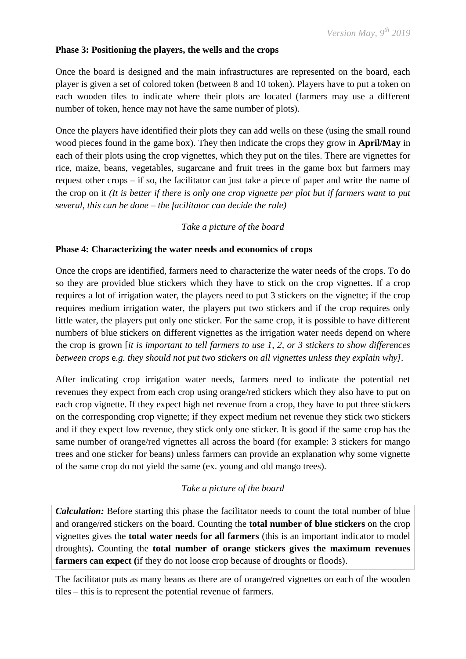### **Phase 3: Positioning the players, the wells and the crops**

Once the board is designed and the main infrastructures are represented on the board, each player is given a set of colored token (between 8 and 10 token). Players have to put a token on each wooden tiles to indicate where their plots are located (farmers may use a different number of token, hence may not have the same number of plots).

Once the players have identified their plots they can add wells on these (using the small round wood pieces found in the game box). They then indicate the crops they grow in **April/May** in each of their plots using the crop vignettes, which they put on the tiles. There are vignettes for rice, maize, beans, vegetables, sugarcane and fruit trees in the game box but farmers may request other crops – if so, the facilitator can just take a piece of paper and write the name of the crop on it *(It is better if there is only one crop vignette per plot but if farmers want to put several, this can be done – the facilitator can decide the rule)*

### *Take a picture of the board*

#### **Phase 4: Characterizing the water needs and economics of crops**

Once the crops are identified, farmers need to characterize the water needs of the crops. To do so they are provided blue stickers which they have to stick on the crop vignettes. If a crop requires a lot of irrigation water, the players need to put 3 stickers on the vignette; if the crop requires medium irrigation water, the players put two stickers and if the crop requires only little water, the players put only one sticker. For the same crop, it is possible to have different numbers of blue stickers on different vignettes as the irrigation water needs depend on where the crop is grown [*it is important to tell farmers to use 1, 2, or 3 stickers to show differences between crops* e*.g. they should not put two stickers on all vignettes unless they explain why].*

After indicating crop irrigation water needs, farmers need to indicate the potential net revenues they expect from each crop using orange/red stickers which they also have to put on each crop vignette. If they expect high net revenue from a crop, they have to put three stickers on the corresponding crop vignette; if they expect medium net revenue they stick two stickers and if they expect low revenue, they stick only one sticker. It is good if the same crop has the same number of orange/red vignettes all across the board (for example: 3 stickers for mango trees and one sticker for beans) unless farmers can provide an explanation why some vignette of the same crop do not yield the same (ex. young and old mango trees).

### *Take a picture of the board*

*Calculation:* Before starting this phase the facilitator needs to count the total number of blue and orange/red stickers on the board. Counting the **total number of blue stickers** on the crop vignettes gives the **total water needs for all farmers** (this is an important indicator to model droughts)**.** Counting the **total number of orange stickers gives the maximum revenues farmers can expect (**if they do not loose crop because of droughts or floods).

The facilitator puts as many beans as there are of orange/red vignettes on each of the wooden tiles – this is to represent the potential revenue of farmers.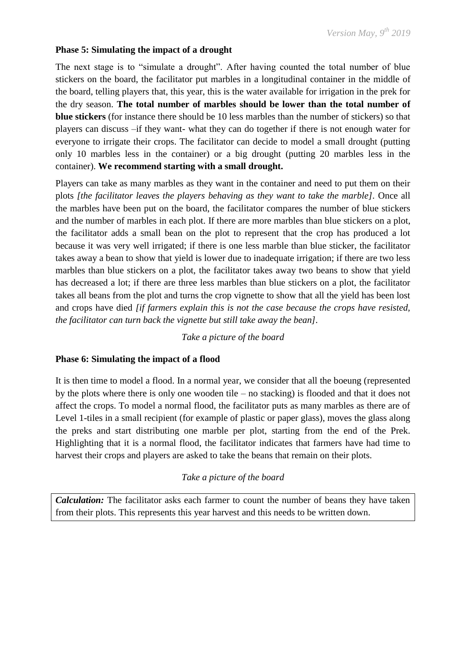### **Phase 5: Simulating the impact of a drought**

The next stage is to "simulate a drought". After having counted the total number of blue stickers on the board, the facilitator put marbles in a longitudinal container in the middle of the board, telling players that, this year, this is the water available for irrigation in the prek for the dry season. **The total number of marbles should be lower than the total number of blue stickers** (for instance there should be 10 less marbles than the number of stickers) so that players can discuss –if they want- what they can do together if there is not enough water for everyone to irrigate their crops. The facilitator can decide to model a small drought (putting only 10 marbles less in the container) or a big drought (putting 20 marbles less in the container). **We recommend starting with a small drought.**

Players can take as many marbles as they want in the container and need to put them on their plots *[the facilitator leaves the players behaving as they want to take the marble].* Once all the marbles have been put on the board, the facilitator compares the number of blue stickers and the number of marbles in each plot. If there are more marbles than blue stickers on a plot, the facilitator adds a small bean on the plot to represent that the crop has produced a lot because it was very well irrigated; if there is one less marble than blue sticker, the facilitator takes away a bean to show that yield is lower due to inadequate irrigation; if there are two less marbles than blue stickers on a plot, the facilitator takes away two beans to show that yield has decreased a lot; if there are three less marbles than blue stickers on a plot, the facilitator takes all beans from the plot and turns the crop vignette to show that all the yield has been lost and crops have died *[if farmers explain this is not the case because the crops have resisted, the facilitator can turn back the vignette but still take away the bean].*

### *Take a picture of the board*

### **Phase 6: Simulating the impact of a flood**

It is then time to model a flood. In a normal year, we consider that all the boeung (represented by the plots where there is only one wooden tile – no stacking) is flooded and that it does not affect the crops. To model a normal flood, the facilitator puts as many marbles as there are of Level 1-tiles in a small recipient (for example of plastic or paper glass), moves the glass along the preks and start distributing one marble per plot, starting from the end of the Prek. Highlighting that it is a normal flood, the facilitator indicates that farmers have had time to harvest their crops and players are asked to take the beans that remain on their plots.

# *Take a picture of the board*

*Calculation:* The facilitator asks each farmer to count the number of beans they have taken from their plots. This represents this year harvest and this needs to be written down.